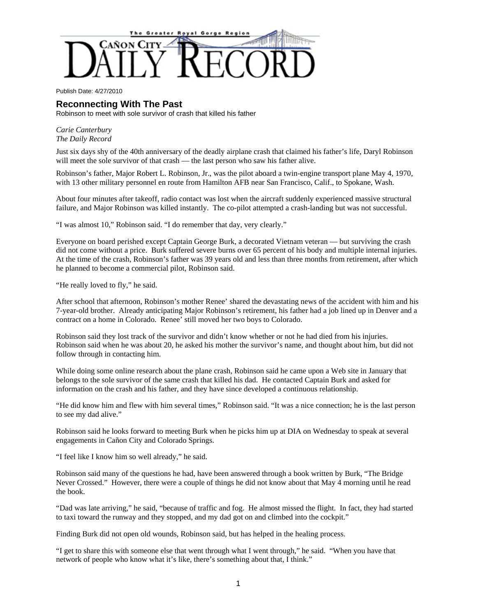

Publish Date: 4/27/2010

## **Reconnecting With The Past**

Robinson to meet with sole survivor of crash that killed his father

## *Carie Canterbury The Daily Record*

Just six days shy of the 40th anniversary of the deadly airplane crash that claimed his father's life, Daryl Robinson will meet the sole survivor of that crash — the last person who saw his father alive.

Robinson's father, Major Robert L. Robinson, Jr., was the pilot aboard a twin-engine transport plane May 4, 1970, with 13 other military personnel en route from Hamilton AFB near San Francisco, Calif., to Spokane, Wash.

About four minutes after takeoff, radio contact was lost when the aircraft suddenly experienced massive structural failure, and Major Robinson was killed instantly. The co-pilot attempted a crash-landing but was not successful.

"I was almost 10," Robinson said. "I do remember that day, very clearly."

Everyone on board perished except Captain George Burk, a decorated Vietnam veteran — but surviving the crash did not come without a price. Burk suffered severe burns over 65 percent of his body and multiple internal injuries. At the time of the crash, Robinson's father was 39 years old and less than three months from retirement, after which he planned to become a commercial pilot, Robinson said.

"He really loved to fly," he said.

After school that afternoon, Robinson's mother Renee' shared the devastating news of the accident with him and his 7-year-old brother. Already anticipating Major Robinson's retirement, his father had a job lined up in Denver and a contract on a home in Colorado. Renee' still moved her two boys to Colorado.

Robinson said they lost track of the survivor and didn't know whether or not he had died from his injuries. Robinson said when he was about 20, he asked his mother the survivor's name, and thought about him, but did not follow through in contacting him.

While doing some online research about the plane crash, Robinson said he came upon a Web site in January that belongs to the sole survivor of the same crash that killed his dad. He contacted Captain Burk and asked for information on the crash and his father, and they have since developed a continuous relationship.

"He did know him and flew with him several times," Robinson said. "It was a nice connection; he is the last person to see my dad alive."

Robinson said he looks forward to meeting Burk when he picks him up at DIA on Wednesday to speak at several engagements in Cañon City and Colorado Springs.

"I feel like I know him so well already," he said.

Robinson said many of the questions he had, have been answered through a book written by Burk, "The Bridge Never Crossed." However, there were a couple of things he did not know about that May 4 morning until he read the book.

"Dad was late arriving," he said, "because of traffic and fog. He almost missed the flight. In fact, they had started to taxi toward the runway and they stopped, and my dad got on and climbed into the cockpit."

Finding Burk did not open old wounds, Robinson said, but has helped in the healing process.

"I get to share this with someone else that went through what I went through," he said. "When you have that network of people who know what it's like, there's something about that, I think."